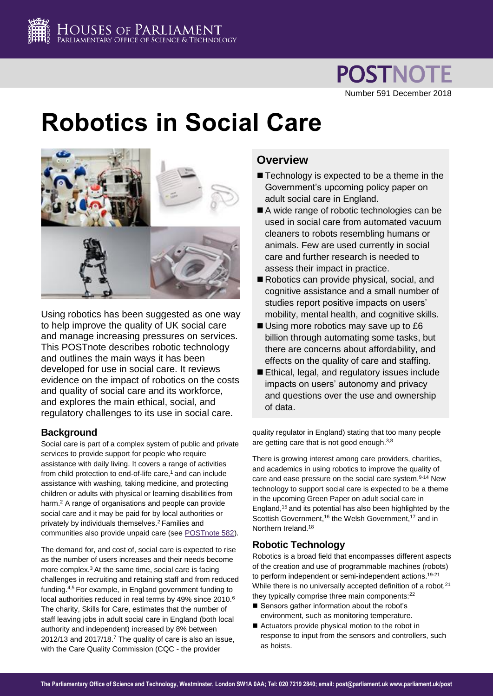

**POSTNOTE** Number 591 December 2018

# **Robotics in Social Care**



Using robotics has been suggested as one way to help improve the quality of UK social care and manage increasing pressures on services. This POSTnote describes robotic technology and outlines the main ways it has been developed for use in social care. It reviews evidence on the impact of robotics on the costs and quality of social care and its workforce, and explores the main ethical, social, and regulatory challenges to its use in social care.

# **Background**

Social care is part of a complex system of public and private services to provide support for people who require assistance with daily living. It covers a range of activities from child protection to end-of-life care,<sup>1</sup> and can include assistance with washing, taking medicine, and protecting children or adults with physical or learning disabilities from harm.<sup>2</sup> A range of organisations and people can provide social care and it may be paid for by local authorities or privately by individuals themselves.[2](#page-0-0) Families and communities also provide unpaid care (see [POSTnote 582\)](https://researchbriefings.parliament.uk/ResearchBriefing/Summary/POST-PN-0582).

<span id="page-0-1"></span><span id="page-0-0"></span>The demand for, and cost of, social care is expected to rise as the number of users increases and their needs become more complex.<sup>3</sup> At the same time, social care is facing challenges in recruiting and retaining staff and from reduced funding.4,5 For example, in England government funding to local authorities reduced in real terms by 49% since 2010.<sup>6</sup> The charity, Skills for Care, estimates that the number of staff leaving jobs in adult social care in England (both local authority and independent) increased by 8% between 2012/13 and 2017/18.<sup>7</sup> The quality of care is also an issue, with the Care Quality Commission (CQC - the provider

# **Overview**

- Technology is expected to be a theme in the Government's upcoming policy paper on adult social care in England.
- A wide range of robotic technologies can be used in social care from automated vacuum cleaners to robots resembling humans or animals. Few are used currently in social care and further research is needed to assess their impact in practice.
- Robotics can provide physical, social, and cognitive assistance and a small number of studies report positive impacts on users' mobility, mental health, and cognitive skills.
- Using more robotics may save up to £6 billion through automating some tasks, but there are concerns about affordability, and effects on the quality of care and staffing.
- Ethical, legal, and regulatory issues include impacts on users' autonomy and privacy and questions over the use and ownership of data.

<span id="page-0-5"></span>quality regulator in England) stating that too many people are getting care that is not good enough.<sup>[3,8](#page-0-1)</sup>

<span id="page-0-3"></span>There is growing interest among care providers, charities, and academics in using robotics to improve the quality of care and ease pressure on the social care system.<sup>9-14</sup> New technology to support social care is expected to be a theme in the upcoming Green Paper on adult social care in England,<sup>15</sup> and its potential has also been highlighted by the Scottish Government,<sup>16</sup> the Welsh Government,<sup>17</sup> and in Northern Ireland.<sup>18</sup>

# <span id="page-0-4"></span>**Robotic Technology**

<span id="page-0-2"></span>Robotics is a broad field that encompasses different aspects of the creation and use of programmable machines (robots) to perform independent or semi-independent actions.<sup>19-21</sup> While there is no universally accepted definition of a robot, [21](#page-0-2) they typically comprise three main components:<sup>22</sup>

- Sensors gather information about the robot's environment, such as monitoring temperature.
- Actuators provide physical motion to the robot in response to input from the sensors and controllers, such as hoists.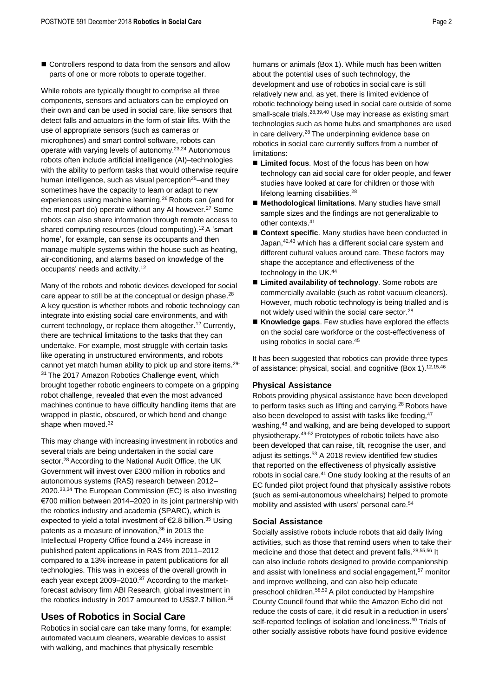■ Controllers respond to data from the sensors and allow parts of one or more robots to operate together.

While robots are typically thought to comprise all three components, sensors and actuators can be employed on their own and can be used in social care, like sensors that detect falls and actuators in the form of stair lifts. With the use of appropriate sensors (such as cameras or microphones) and smart control software, robots can operate with varying levels of autonomy.<sup>23,24</sup> Autonomous robots often include artificial intelligence (AI)–technologies with the ability to perform tasks that would otherwise require human intelligence, such as visual perception<sup>25</sup>–and they sometimes have the capacity to learn or adapt to new experiences using machine learning. <sup>26</sup> Robots can (and for the most part do) operate without any AI however. <sup>27</sup> Some robots can also share information through remote access to shared computing resources (cloud computing).<sup>[12](#page-0-3)</sup> A 'smart home', for example, can sense its occupants and then manage multiple systems within the house such as heating, air-conditioning, and alarms based on knowledge of the occupants' needs and activity.[12](#page-0-3)

Many of the robots and robotic devices developed for social care appear to still be at the conceptual or design phase. $^{28}$ A key question is whether robots and robotic technology can integrate into existing social care environments, and with current technology, or replace them altogether. [12](#page-0-3) Currently, there are technical limitations to the tasks that they can undertake. For example, most struggle with certain tasks like operating in unstructured environments, and robots cannot yet match human ability to pick up and store items.29- <sup>31</sup> The 2017 Amazon Robotics Challenge event, which brought together robotic engineers to compete on a gripping robot challenge, revealed that even the most advanced machines continue to have difficulty handling items that are wrapped in plastic, obscured, or which bend and change shape when moved.<sup>32</sup>

This may change with increasing investment in robotics and several trials are being undertaken in the social care sector.<sup>[28](#page-1-0)</sup> According to the National Audit Office, the UK Government will invest over £300 million in robotics and autonomous systems (RAS) research between 2012– 2020.33,34 The European Commission (EC) is also investing €700 million between 2014–2020 in its joint partnership with the robotics industry and academia (SPARC), which is expected to vield a total investment of €2.8 billion.<sup>35</sup> Using patents as a measure of innovation.<sup>36</sup> in 2013 the Intellectual Property Office found a 24% increase in published patent applications in RAS from 2011–2012 compared to a 13% increase in patent publications for all technologies. This was in excess of the overall growth in each year except 2009–2010.<sup>37</sup> According to the marketforecast advisory firm ABI Research, global investment in the robotics industry in 2017 amounted to US\$2.7 billion.<sup>38</sup>

# **Uses of Robotics in Social Care**

Robotics in social care can take many forms, for example: automated vacuum cleaners, wearable devices to assist with walking, and machines that physically resemble

humans or animals (Box 1). While much has been written about the potential uses of such technology, the development and use of robotics in social care is still relatively new and, as yet, there is limited evidence of robotic technology being used in social care outside of some small-scale trials.<sup>[28,3](#page-1-0)9,40</sup> Use may increase as existing smart technologies such as home hubs and smartphones are used in care delivery.[28](#page-1-0) The underpinning evidence base on robotics in social care currently suffers from a number of limitations:

- **Limited focus**. Most of the focus has been on how technology can aid social care for older people, and fewer studies have looked at care for children or those with lifelong learning disabilities.<sup>[28](#page-1-0)</sup>
- <span id="page-1-3"></span><span id="page-1-2"></span> **Methodological limitations**. Many studies have small sample sizes and the findings are not generalizable to other contexts.<sup>41</sup>
- <span id="page-1-1"></span>**Context specific**. Many studies have been conducted in Japan,42,43 which has a different social care system and different cultural values around care. These factors may shape the acceptance and effectiveness of the technology in the UK.<sup>44</sup>
- <span id="page-1-0"></span>■ Limited availability of technology. Some robots are commercially available (such as robot vacuum cleaners). However, much robotic technology is being trialled and is not widely used within the social care sector.[28](#page-1-0)
- Knowledge gaps. Few studies have explored the effects on the social care workforce or the cost-effectiveness of using robotics in social care.<sup>45</sup>

It has been suggested that robotics can provide three types of assistance: physical, social, and cognitive (Box 1).<sup>[12,](#page-0-3)[15,4](#page-0-4)6</sup>

## **Physical Assistance**

Robots providing physical assistance have been developed to perform tasks such as lifting and carrying.<sup>[28](#page-1-0)</sup> Robots have also been developed to assist with tasks like feeding, <sup>47</sup> washing,<sup>48</sup> and walking, and are being developed to support physiotherapy.49-52 Prototypes of robotic toilets have also been developed that can raise, tilt, recognise the user, and adjust its settings.<sup>53</sup> A 2018 review identified few studies that reported on the effectiveness of physically assistive robots in social care.<sup>[41](#page-1-1)</sup> One study looking at the results of an EC funded pilot project found that physically assistive robots (such as semi-autonomous wheelchairs) helped to promote mobility and assisted with users' personal care.<sup>54</sup>

## **Social Assistance**

Socially assistive robots include robots that aid daily living activities, such as those that remind users when to take their medicine and those that detect and prevent falls.[28,5](#page-1-0)5,56 It can also include robots designed to provide companionship and assist with loneliness and social engagement,<sup>57</sup> monitor and improve wellbeing, and can also help educate preschool children.58,59 A pilot conducted by Hampshire County Council found that while the Amazon Echo did not reduce the costs of care, it did result in a reduction in users' self-reported feelings of isolation and loneliness.<sup>60</sup> Trials of other socially assistive robots have found positive evidence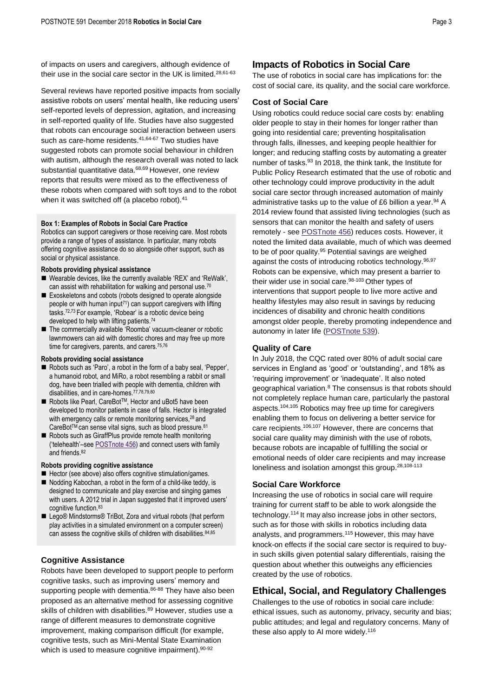of impacts on users and caregivers, although evidence of their use in the social care sector in the UK is limited.<sup>[28,6](#page-1-0)1-63</sup>

Several reviews have reported positive impacts from socially assistive robots on users' mental health, like reducing users' self-reported levels of depression, agitation, and increasing in self-reported quality of life. Studies have also suggested that robots can encourage social interaction between users such as care-home residents.<sup>[41,6](#page-1-1)4-67</sup> Two studies have suggested robots can promote social behaviour in children with autism, although the research overall was noted to lack substantial quantitative data.<sup>68,69</sup> However, one review reports that results were mixed as to the effectiveness of these robots when compared with soft toys and to the robot when it was switched off (a placebo robot).<sup>[41](#page-1-1)</sup>

#### **Box 1: Examples of Robots in Social Care Practice**

Robotics can support caregivers or those receiving care. Most robots provide a range of types of assistance. In particular, many robots offering cognitive assistance do so alongside other support, such as social or physical assistance.

#### **Robots providing physical assistance**

- Wearable devices, like the currently available 'REX' and 'ReWalk', can assist with rehabilitation for walking and personal use.<sup>70</sup>
- Exoskeletons and cobots (robots designed to operate alongside people or with human input<sup>71</sup>) can support caregivers with lifting tasks.72,73 For example, 'Robear' is a robotic device being developed to help with lifting patients.<sup>74</sup>
- The commercially available 'Roomba' vacuum-cleaner or robotic lawnmowers can aid with domestic chores and may free up more time for caregivers, parents, and carers.<sup>75,76</sup>

#### **Robots providing social assistance**

- Robots such as 'Paro', a robot in the form of a baby seal, 'Pepper', a humanoid robot, and MiRo, a robot resembling a rabbit or small dog, have been trialled with people with dementia, children with disabilities, and in care-homes.77,78,79,80
- Robots like Pearl, CareBot<sup>™</sup>, Hector and uBot5 have been developed to monitor patients in case of falls. Hector is integrated with emergency calls or remote monitoring services,<sup>[28](#page-1-0)</sup> and CareBot™ can sense vital signs, such as blood pressure.<sup>81</sup>
- Robots such as GiraffPlus provide remote health monitoring ('telehealth'–se[e POSTnote 456\)](https://researchbriefings.parliament.uk/ResearchBriefing/Summary/POST-PN-456/) and connect users with family and friends.<sup>82</sup>

#### **Robots providing cognitive assistance**

- Hector (see above) also offers cognitive stimulation/games.
- Nodding Kabochan, a robot in the form of a child-like teddy, is designed to communicate and play exercise and singing games with users. A 2012 trial in Japan suggested that it improved users' cognitive function.<sup>83</sup>
- Lego® Mindstorms® TriBot, Zora and virtual robots (that perform play activities in a simulated environment on a computer screen) can assess the cognitive skills of children with disabilities.84,85

## **Cognitive Assistance**

Robots have been developed to support people to perform cognitive tasks, such as improving users' memory and supporting people with dementia.<sup>86-88</sup> They have also been proposed as an alternative method for assessing cognitive skills of children with disabilities.<sup>89</sup> However, studies use a range of different measures to demonstrate cognitive improvement, making comparison difficult (for example, cognitive tests, such as Mini-Mental State Examination which is used to measure cognitive impairment).<sup>90-92</sup>

# **Impacts of Robotics in Social Care**

The use of robotics in social care has implications for: the cost of social care, its quality, and the social care workforce.

## **Cost of Social Care**

Using robotics could reduce social care costs by: enabling older people to stay in their homes for longer rather than going into residential care; preventing hospitalisation through falls, illnesses, and keeping people healthier for longer; and reducing staffing costs by automating a greater number of tasks.<sup>93</sup> In 2018, the think tank, the Institute for Public Policy Research estimated that the use of robotic and other technology could improve productivity in the adult social care sector through increased automation of mainly administrative tasks up to the value of £6 billion a year.<sup>94</sup> A 2014 review found that assisted living technologies (such as sensors that can monitor the health and safety of users remotely - see [POSTnote 456\)](https://researchbriefings.parliament.uk/ResearchBriefing/Summary/POST-PN-456/) reduces costs. However, it noted the limited data available, much of which was deemed to be of poor quality.<sup>95</sup> Potential savings are weighed against the costs of introducing robotics technology. 96,97 Robots can be expensive, which may present a barrier to their wider use in social care.<sup>98-103</sup> Other types of interventions that support people to live more active and healthy lifestyles may also result in savings by reducing incidences of disability and chronic health conditions amongst older people, thereby promoting independence and autonomy in later life [\(POSTnote 539\)](https://researchbriefings.parliament.uk/ResearchBriefing/Summary/POST-PN-0539?utm_source=directory&utm_medium=website&utm_campaign=PN539).

## **Quality of Care**

In July 2018, the CQC rated over 80% of adult social care services in England as 'good' or 'outstanding', and 18% as 'requiring improvement' or 'inadequate'. It also noted geographical variation[.](#page-0-5)<sup>8</sup> The consensus is that robots should not completely replace human care, particularly the pastoral aspects.104,105 Robotics may free up time for caregivers enabling them to focus on delivering a better service for care recipients.106,107 However, there are concerns that social care quality may diminish with the use of robots, because robots are incapable of fulfilling the social or emotional needs of older care recipients and may increase loneliness and isolation amongst this group.<sup>[28,1](#page-1-0)08-113</sup>

## **Social Care Workforce**

Increasing the use of robotics in social care will require training for current staff to be able to work alongside the technology.<sup>114</sup> It may also increase jobs in other sectors, such as for those with skills in robotics including data analysts, and programmers.<sup>115</sup> However, this may have knock-on effects if the social care sector is required to buyin such skills given potential salary differentials, raising the question about whether this outweighs any efficiencies created by the use of robotics.

# **Ethical, Social, and Regulatory Challenges**

Challenges to the use of robotics in social care include: ethical issues, such as autonomy, privacy, security and bias; public attitudes; and legal and regulatory concerns. Many of these also apply to AI more widely.<sup>116</sup>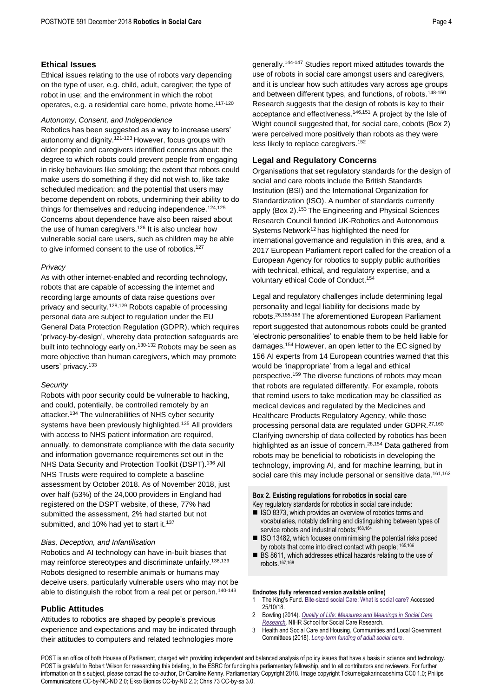## **Ethical Issues**

Ethical issues relating to the use of robots vary depending on the type of user, e.g. child, adult, caregiver; the type of robot in use; and the environment in which the robot operates, e.g. a residential care home, private home. 117-120

#### *Autonomy, Consent, and Independence*

Robotics has been suggested as a way to increase users' autonomy and dignity.121-123 However, focus groups with older people and caregivers identified concerns about: the degree to which robots could prevent people from engaging in risky behaviours like smoking; the extent that robots could make users do something if they did not wish to, like take scheduled medication; and the potential that users may become dependent on robots, undermining their ability to do things for themselves and reducing independence.<sup>124,125</sup> Concerns about dependence have also been raised about the use of human caregivers.<sup>126</sup> It is also unclear how vulnerable social care users, such as children may be able to give informed consent to the use of robotics.<sup>127</sup>

## *Privacy*

As with other internet-enabled and recording technology, robots that are capable of accessing the internet and recording large amounts of data raise questions over privacy and security.128,129 Robots capable of processing personal data are subject to regulation under the EU General Data Protection Regulation (GDPR), which requires 'privacy-by-design', whereby data protection safeguards are built into technology early on.<sup>130-132</sup> Robots may be seen as more objective than human caregivers, which may promote users' privacy.<sup>133</sup>

#### *Security*

Robots with poor security could be vulnerable to hacking, and could, potentially, be controlled remotely by an attacker.<sup>134</sup> The vulnerabilities of NHS cyber security systems have been previously highlighted.<sup>135</sup> All providers with access to NHS patient information are required, annually, to demonstrate compliance with the data security and information governance requirements set out in the NHS Data Security and Protection Toolkit (DSPT).<sup>136</sup> All NHS Trusts were required to complete a baseline assessment by October 2018. As of November 2018, just over half (53%) of the 24,000 providers in England had registered on the DSPT website, of these, 77% had submitted the assessment, 2% had started but not submitted, and 10% had yet to start it.<sup>137</sup>

#### *Bias, Deception, and Infantilisation*

Robotics and AI technology can have in-built biases that may reinforce stereotypes and discriminate unfairly.<sup>138,139</sup> Robots designed to resemble animals or humans may deceive users, particularly vulnerable users who may not be able to distinguish the robot from a real pet or person.<sup>140-143</sup>

## **Public Attitudes**

Attitudes to robotics are shaped by people's previous experience and expectations and may be indicated through their attitudes to computers and related technologies more

<span id="page-3-0"></span>generally.144-147 Studies report mixed attitudes towards the use of robots in social care amongst users and caregivers, and it is unclear how such attitudes vary across age groups and between different types, and functions, of robots.<sup>148-150</sup> Research suggests that the design of robots is key to their acceptance and effectiveness.<sup>[146,1](#page-3-0)51</sup> A project by the Isle of Wight council suggested that, for social care, cobots (Box 2) were perceived more positively than robots as they were less likely to replace caregivers.<sup>152</sup>

## **Legal and Regulatory Concerns**

Organisations that set regulatory standards for the design of social and care robots include the British Standards Institution (BSI) and the International Organization for Standardization (ISO). A number of standards currently apply (Box 2).<sup>153</sup> The Engineering and Physical Sciences Research Council funded UK-Robotics and Autonomous Systems Network<sup>[12](#page-0-3)</sup> has highlighted the need for international governance and regulation in this area, and a 2017 European Parliament report called for the creation of a European Agency for robotics to supply public authorities with technical, ethical, and regulatory expertise, and a voluntary ethical Code of Conduct.<sup>154</sup>

<span id="page-3-1"></span>Legal and regulatory challenges include determining legal personality and legal liability for decisions made by robots. [26,1](#page-1-2)55-158 The aforementioned European Parliament report suggested that autonomous robots could be granted 'electronic personalities' to enable them to be held liable for damages.[154](#page-3-1) However, an open letter to the EC signed by 156 AI experts from 14 European countries warned that this would be 'inappropriate' from a legal and ethical perspective.<sup>159</sup> The diverse functions of robots may mean that robots are regulated differently. For example, robots that remind users to take medication may be classified as medical devices and regulated by the Medicines and Healthcare Products Regulatory Agency, while those processing personal data are regulated under GDPR.[27,1](#page-1-3)60 Clarifying ownership of data collected by robotics has been highlighted as an issue of concern.<sup>[28,](#page-1-0)[154](#page-3-1)</sup> Data gathered from robots may be beneficial to roboticists in developing the technology, improving AI, and for machine learning, but in social care this may include personal or sensitive data.<sup>161,162</sup>

#### **Box 2. Existing regulations for robotics in social care**

- Key regulatory standards for robotics in social care include: ■ ISO 8373, which provides an overview of robotics terms and vocabularies, notably defining and distinguishing between types of service robots and industrial robots;<sup>163,164</sup>
- ISO 13482, which focuses on minimising the potential risks posed by robots that come into direct contact with people; 165,166
- BS 8611, which addresses ethical hazards relating to the use of robots.167,168

#### **Endnotes (fully referenced version available online)**

- 1 The King's Fund. [Bite-sized social Care: What is social care?](https://www.kingsfund.org.uk/audio-video/bite-sized-social-care-what-is-social-care) Accessed 25/10/18.
- 2 Bowling (2014). *[Quality of Life: Measures and Meanings in Social Care](https://eprints.soton.ac.uk/373668/)  [Research.](https://eprints.soton.ac.uk/373668/)* NIHR School for Social Care Research.
- 3 Health and Social Care and Housing, Communities and Local Government Committees (2018). *[Long-term funding of adult social care](https://publications.parliament.uk/pa/cm201719/cmselect/cmcomloc/768/768.pdf)*.

POST is an office of both Houses of Parliament, charged with providing independent and balanced analysis of policy issues that have a basis in science and technology. POST is grateful to Robert Wilson for researching this briefing, to the ESRC for funding his parliamentary fellowship, and to all contributors and reviewers. For further information on this subject, please contact the co-author, Dr Caroline Kenny. Parliamentary Copyright 2018. Image copyright Tokumeigakarinoaoshima CC0 1.0; Philips Communications CC-by-NC-ND 2.0; Ekso Bionics CC-by-ND 2.0; Chris 73 CC-by-sa 3.0.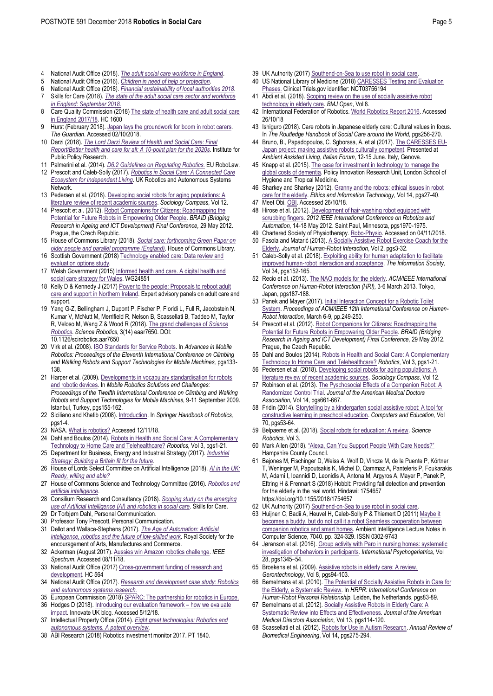- 4 National Audit Office (2018). *[The adult social care workforce in England](https://www.nao.org.uk/wp-content/uploads/2018/02/The-adult-social-care-workforce-in-England.pdf)*.
- 5 National Audit Office (2016). *[Children in need of help or protection](https://www.nao.org.uk/wp-content/uploads/2016/10/Children-in-need-of-help-protection.pdf)*.
- 6 National Audit Office (2018). *[Financial sustainability of local authorities 2018](https://www.nao.org.uk/wp-content/uploads/2018/03/Financial-sustainabilty-of-local-authorites-2018.pdf)*.
- 7 Skills for Care (2018). *[The state of the adult social care sector and workforce](https://www.skillsforcare.org.uk/NMDS-SC-intelligence/Workforce-intelligence/documents/State-of-the-adult-social-care-sector/The-state-of-the-adult-social-care-sector-and-workforce-2018.pdf)  [in England: September 2018.](https://www.skillsforcare.org.uk/NMDS-SC-intelligence/Workforce-intelligence/documents/State-of-the-adult-social-care-sector/The-state-of-the-adult-social-care-sector-and-workforce-2018.pdf)*
- 8 Care Quality Commission (2018[\) The state of health care and adult social care](https://www.cqc.org.uk/sites/default/files/20171011_stateofcare1718_report.pdf)  [in England 2017/18.](https://www.cqc.org.uk/sites/default/files/20171011_stateofcare1718_report.pdf) HC 1600
- 9 Hurst (February 2018). Japan lays the groundwork for boom in robot carers. *The Guardian*. Accessed 02/10/2018.
- 10 Darzi (2018). *[The Lord Darzi Review of Health and Social Care: Final](https://www.ippr.org/files/2018-06/better-health-and-care-for-all-june2018.pdf)  [Report/Better health and care for all: A 10-point plan for the 2020s](https://www.ippr.org/files/2018-06/better-health-and-care-for-all-june2018.pdf)*. Institute for Public Policy Research.
- 11 Palmerini et al. (2014). *[D6.2 Guidelines on Regulating Robotics](http://www.robolaw.eu/)*. EU RoboLaw.
- 12 Prescott and Caleb-Solly (2017). *[Robotics in Social Care: A Connected Care](https://www.housinglin.org.uk/Topics/type/Robotics-in-Social-Care-A-Connected-Care-EcoSystem-for-Independent-Living/)  [Ecosystem for Independent Living](https://www.housinglin.org.uk/Topics/type/Robotics-in-Social-Care-A-Connected-Care-EcoSystem-for-Independent-Living/)*. UK Robotics and Autonomous Systems Network.
- 13 Pedersen et al. (2018). Developing social robots for aging populations: A [literature review of recent academic sources.](https://onlinelibrary.wiley.com/doi/abs/10.1111/soc4.12585) *Sociology Compass*, Vol 12.
- 14 Prescott et al. (2012)[. Robot Companions for Citizens: Roadmapping the](https://www.napier.ac.uk/~/media/worktribe/output-195361/0266robotsandageingroadmappdf.pdf)  [Potential for Future Robots in Empowering Older People.](https://www.napier.ac.uk/~/media/worktribe/output-195361/0266robotsandageingroadmappdf.pdf) *BRAID (Bridging Research in Ageing and ICT Development) Final Conference,* 29 May 2012. Prague, the Czech Republic.
- 15 House of Commons Library (2018). *[Social care: forthcoming Green Paper on](https://researchbriefings.parliament.uk/ResearchBriefing/Summary/CBP-8002)  [older people and parallel programme \(England\)](https://researchbriefings.parliament.uk/ResearchBriefing/Summary/CBP-8002)*. House of Commons Library.
- 16 Scottish Government (2018) Technology enabled care: Data review and evaluation options study
- 17 Welsh Government (2015[\) Informed health and care. A digital health and](https://gov.wales/docs/dhss/publications/151215reporten.pdf)  [social care strategy for Wales.](https://gov.wales/docs/dhss/publications/151215reporten.pdf) WG24851
- 18 Kelly D & Kennedy J (2017) Power to the people: Proposals to reboot adult [care and support in Northern Ireland.](https://www.health-ni.gov.uk/sites/default/files/publications/health/power-to-people-full-report.PDF) Expert advisory panels on adult care and support.
- 19 Yang G-Z, Bellingham J, Dupont P, Fischer P, Floridi L, Full R, Jacobstein N, Kumar V, McNutt M, Merrifield R, Nelson B, Scassellati B, Taddeo M, Taylor R, Veloso M, Wang Z & Wood R (2018)[. The grand challenges of](http://robotics.sciencemag.org/content/3/14/eaar7650) *Science [Robotics](http://robotics.sciencemag.org/content/3/14/eaar7650)*. *Science Robotics*, 3(14) eaar7650. DOI: 10.1126/scirobotics.aar7650
- 20 Virk et al. (2008)[. ISO Standards for Service Robots.](https://www.worldscientific.com/doi/abs/10.1142/9789812835772_0016) In *Advances in Mobile Robotics: Proceedings of the Eleventh International Conference on Climbing and Walking Robots and Support Technologies for Mobile Machines,* pgs133- 138.
- 21 Harper et al. (2009). Developments in vocabulary standardisation for robots [and robotic devices.](http://eprints.uwe.ac.uk/16103/1/VOCABULARY%20STANDARDIZATION%20FOR%20ROBOTS%20AND%20ROBOTIC%20DEVICES_submission.pdf) In *Mobile Robotics Solutions and Challenges: Proceedings of the Twelfth International Conference on Climbing and Walking Robots and Support Technologies for Mobile Machines,* 9-11 September 2009*.* Istanbul, Turkey, pgs155-162.
- 22 Siciliano and Khatib (2008)[. Introduction.](https://link.springer.com/referenceworkentry/10.1007/978-3-540-30301-5_1) In *Springer Handbook of Robotics,*  $nns1-4$
- 23 NASA[. What is robotics?](https://www.nasa.gov/audience/forstudents/k-4/stories/nasa-knows/what_is_robotics_k4.html) Accessed 12/11/18.
- 24 Dahl and Boulos (2014). Robots in Health and Social Care: A Complementary [Technology to Home Care and Telehealthcare?](https://www.mdpi.com/2218-6581/3/1/1) *Robotics*, Vol 3, pgs1-21.
- 25 Department for Business, Energy and Industrial Strategy (2017). *[Industrial](https://www.gov.uk/government/uploads/system/uploads/attachment_)  Strategy: Building [a Britain fit for the future](https://www.gov.uk/government/uploads/system/uploads/attachment_)*.
- 26 House of Lords Select Committee on Artificial Intelligence (2018). *[AI in the UK:](https://publications.parliament.uk/pa/ld201719/ldselect/ldai/100/100.pdf)  [Ready, willing and able?](https://publications.parliament.uk/pa/ld201719/ldselect/ldai/100/100.pdf)*
- 27 House of Commons Science and Technology Committee (2016). *[Robotics and](https://publications.parliament.uk/pa/cm201617/cmselect/cmsctech/145/145.pdf)  [artificial intelligence](https://publications.parliament.uk/pa/cm201617/cmselect/cmsctech/145/145.pdf)*.
- 28 Consilium Research and Consultancy (2018). *[Scoping study on the emerging](https://www.skillsforcare.org.uk/Documents/Topics/Digital-working/Robotics-and-AI-in-social-care-Final-report.pdf)  [use of Artificial Intelligence \(AI\) and robotics in social care](https://www.skillsforcare.org.uk/Documents/Topics/Digital-working/Robotics-and-AI-in-social-care-Final-report.pdf)*. Skills for Care.
- 29 Dr Torbjørn Dahl, Personal Communication.
- 30 Professor Tony Prescott, Personal Communication.
- 31 Dellot and Wallace-Stephens (2017). *[The Age of Automation: Artificial](https://www.thersa.org/globalassets/pdfs/reports/rsa_the-age-of-automation-report.pdf)  [intelligence, robotics and the future of low-skilled work](https://www.thersa.org/globalassets/pdfs/reports/rsa_the-age-of-automation-report.pdf)*. Royal Society for the encouragement of Arts, Manufactures and Commerce.
- 32 Ackerman (August 2017[\). Aussies win Amazon robotics challenge.](https://spectrum.ieee.org/automaton/robotics/industrial-robots/aussies-win-amazon-robotics-challenge) *IEEE Spectrum*. Accessed 08/11/18.
- 33 National Audit Office (2017[\) Cross-government funding of research and](https://www.nao.org.uk/wp-content/uploads/2017/11/Cross-government-funding-of-research-and-development.pdf)  [development.](https://www.nao.org.uk/wp-content/uploads/2017/11/Cross-government-funding-of-research-and-development.pdf) HC 564
- 34 National Audit Office (2017). *[Research and development case study: Robotics](https://www.nao.org.uk/wp-content/uploads/2017/11/Research-and-development-case-study-Robotics-and-autonomous-systems-research.pdf)  [and autonomous systems research.](https://www.nao.org.uk/wp-content/uploads/2017/11/Research-and-development-case-study-Robotics-and-autonomous-systems-research.pdf)*
- 35 European Commission (2018[\) SPARC: The partnership for robotics in Europe.](https://www.eu-robotics.net/sparc/upload/Newsroom/Press/2018/SPARC_leaflet-1mm_bleed.pdf)
- Hodges D (2018)[. Introducing our evaluation framework](https://innovateuk.blog.gov.uk/2018/02/15/introducing-our-evaluation-framework-how-we-evaluate-impact/)  how we evaluate [impact.](https://innovateuk.blog.gov.uk/2018/02/15/introducing-our-evaluation-framework-how-we-evaluate-impact/) Innovate UK blog. Accessed 5/12/18.
- 37 Intellectual Property Office (2014). *[Eight great technologies: Robotics and](https://assets.publishing.service.gov.uk/government/uploads/system/uploads/attachment_data/file/318236/Robotics_Autonomous.pdf)  [autonomous systems. A patent overview.](https://assets.publishing.service.gov.uk/government/uploads/system/uploads/attachment_data/file/318236/Robotics_Autonomous.pdf)*
- 38 ABI Research (2018) Robotics investment monitor 2017. PT 1840.
- 39 UK Authority (2017) [Southend-on-Sea to use robot in social care.](https://www.ukauthority.com/articles/southend-on-sea-to-use-robot-in-social-care/)
- 40 US National Library of Medicine (2018[\) CARESSES Testing and Evaluation](https://clinicaltrials.gov/ct2/show/NCT03756194)  [Phases.](https://clinicaltrials.gov/ct2/show/NCT03756194) Clinical Trials.gov identifier: NCT03756194
- 41 Abdi et al. (2018). Scoping review on the use of socially assistive robot [technology in elderly care.](https://bmjopen.bmj.com/content/bmjopen/8/2/e018815.full.pdf) *BMJ Open*, Vol 8.
- 42 International Federation of Robotics[. World Robotics Report 2016.](https://ifr.org/ifr-press-releases/news/world-robotics-report-2016) Accessed 26/10/18
- 43 Ishiguro (2018). Care robots in Japanese elderly care: Cultural values in focus. In *The Routledge Handbook of Social Care around the World, pgs256-270.*
- 44 Bruno, B., Papadopoulos, C. Sgborssa, A. et al (2017)[. The CARESSES EU-](https://arxiv.org/abs/1708.06276)[Japan project: making assistive robots culturally competent.](https://arxiv.org/abs/1708.06276) Presented at *Ambient Assisted Living*, *Italian Forum*, 12-15 June. Italy, Genova.
- 45 Knapp et al. (2015)[. The case for investment in technology to manage the](https://piru.lshtm.ac.uk/assets/files/Dementia_IT_PIRU_publ_18.pdf)  [global costs of dementia.](https://piru.lshtm.ac.uk/assets/files/Dementia_IT_PIRU_publ_18.pdf) Policy Innovation Research Unit, London School of Hygiene and Tropical Medicine.
- 46 Sharkey and Sharkey (2012)[. Granny and the robots: ethical issues in robot](https://link.springer.com/article/10.1007/s10676-010-9234-6)  [care for the elderly.](https://link.springer.com/article/10.1007/s10676-010-9234-6) *Ethics and Information Technology*, Vol 14, pgs27-40.
- 47 Meet Obi[. OBI.](https://meetobi.com/) Accessed 26/10/18.
- 48 Hirose et al. (2012)[. Development of hair-washing robot equipped with](https://ieeexplore.ieee.org/document/6224794)  [scrubbing fingers.](https://ieeexplore.ieee.org/document/6224794) *2012 IEEE International Conference on Robotics and Automation,* 14-18 May 2012. Saint Paul, Minnesota, pgs1970-1975.
- 49 Chartered Society of Physiotherapy[. Robo-Physio.](https://www.csp.org.uk/frontline/article/robo-physio) Accessed on 04/11/2018.
- 50 Fasola and Matarić (2013). [A Socially Assistive Robot Exercise Coach for the](http://humanrobotinteraction.org/journal/index.php/HRI/article/view/32)  [Elderly.](http://humanrobotinteraction.org/journal/index.php/HRI/article/view/32) *Journal of Human-Robot Interaction*, Vol 2, pgs3-32.
- 51 Caleb-Solly et al. (2018)[. Exploiting ability for human adaptation to facilitate](https://www.tandfonline.com/doi/abs/10.1080/01972243.2018.1444255)  [improved human-robot interaction and acceptance.](https://www.tandfonline.com/doi/abs/10.1080/01972243.2018.1444255) *The Information Society,*  Vol 34, pgs152-165.
- 52 Recio et al. (2013)[. The NAO models for the elderly.](https://ieeexplore.ieee.org/document/6483564) *ACM/IEEE International Conference on Human-Robot Interaction (HRI),* 3-6 March 2013*.* Tokyo, Japan, pgs187-188.
- 53 Panek and Mayer (2017)[. Initial Interaction Concept for a Robotic Toilet](https://dl.acm.org/citation.cfm?id=3038420)  [System.](https://dl.acm.org/citation.cfm?id=3038420) *Proceedings of ACM/IEEE 12th International Conference on Human-Robot Interaction*, March 6-9, pp.249-250.
- 54 Prescott et al. (2012)[. Robot Companions for Citizens: Roadmapping the](https://www.napier.ac.uk/~/media/worktribe/output-195361/0266robotsandageingroadmappdf.pdf)  [Potential for Future Robots in Empowering Older People.](https://www.napier.ac.uk/~/media/worktribe/output-195361/0266robotsandageingroadmappdf.pdf) *BRAID (Bridging Research in Ageing and ICT Development) Final Conference,* 29 May 2012. Prague, the Czech Republic.
- 55 Dahl and Boulos (2014). Robots in Health and Social Care: A Complementary [Technology to Home Care and Telehealthcare?](https://www.mdpi.com/2218-6581/3/1/1) *Robotics*, Vol 3, pgs1-21.
- 56 Pedersen et al. (2018)[. Developing social robots for aging populations: A](https://onlinelibrary.wiley.com/doi/abs/10.1111/soc4.12585)  [literature review of recent academic sources.](https://onlinelibrary.wiley.com/doi/abs/10.1111/soc4.12585) *Sociology Compass*, Vol 12.
- Robinson et al. (2013). The Pyschosocial Effects of a Companion Robot: A [Randomized Control Trial.](https://www.sciencedirect.com/science/article/pii/S1525861013000972) *Journal of the American Medical Doctors Association,* Vol 14, pgs661-667.
- 58 Fridin (2014)[. Storytelling by a kindergarten social assistive robot: A tool for](https://www.sciencedirect.com/science/article/pii/S036013151300225X?via%3Dihub)  [constructive learning in preschool education.](https://www.sciencedirect.com/science/article/pii/S036013151300225X?via%3Dihub) *Computers and Education,* Vol 70, pgs53-64.
- 59 Belpaeme et al. (2018)[. Social robots for education: A review.](http://robotics.sciencemag.org/content/3/21/eaat5954) *Science Robotics*, Vol 3.
- 60 Mark Allen (2018). ["Alexa, Can You Support People With Care Needs?"](https://www.local.gov.uk/sites/default/files/documents/W2.%20Assistive%20technology%20in%20supported%20living%20and%20community%20-%20Mark%20Allen.pdf) Hampshire County Council.
- 61 Bajones M, Fischinger D, Weiss A, Wolf D, Vincze M, de la Puente P, Körtner T, Weninger M, Papoutsakis K, Michel D, Qammaz A, Panteleris P, Foukarakis M, Adami I, Ioannidi D, Leonidis A, Antona M, Argyros A, Mayer P, Panek P, Eftring H & Frennart S (2018) Hobbit: Providing fall detection and prevention for the elderly in the real world. Hindawi: 1754657 https://doi.org/10.1155/2018/1754657
- 62 UK Authority (2017[\) Southend-on-Sea to use robot in social care.](https://www.ukauthority.com/articles/southend-on-sea-to-use-robot-in-social-care/)
- 63 Huijnen C, Badii A, Heuvel H, Caleb-Solly P & Thiemert D (2011[\) Maybe it](http://eprints.uwe.ac.uk/16090)  [becomes a buddy, but do not call it a robot Seamless cooperation between](http://eprints.uwe.ac.uk/16090)  [companion robotics and smart homes.](http://eprints.uwe.ac.uk/16090) Ambient Intelligence Lecture Notes in Computer Science, 7040. pp. 324-329. ISSN 0302-9743
- 64 Jøranson et al. (2016)[. Group activity with Paro in nursing homes: systematic](https://www.cambridge.org/core/journals/international-psychogeriatrics/article/group-activity-with-paro-in-nursing-homes-systematic-investigation-of-behaviors-in-participants/CB10F2C799B442CBDF7786794C90E86E)  [investigation of behaviors in participants.](https://www.cambridge.org/core/journals/international-psychogeriatrics/article/group-activity-with-paro-in-nursing-homes-systematic-investigation-of-behaviors-in-participants/CB10F2C799B442CBDF7786794C90E86E) *International Psychogeriatrics,* Vol 28, pgs1345–54.
- 65 Broekens et al. (2009)[. Assistive robots in elderly care: A review.](http://citeseerx.ist.psu.edu/viewdoc/summary?doi=10.1.1.714.6939)  *Gerontechnology*, Vol 8, pgs94-103.
- 66 Bemelmans et al. (2010)[. The Potential of Socially Assistive Robots in Care for](https://link.springer.com/chapter/10.1007/978-3-642-19385-9_11)  [the Elderly, a Systematic Review.](https://link.springer.com/chapter/10.1007/978-3-642-19385-9_11) In *HRPR: International Conference on Human-Robot Personal Relationship.* Leiden, the Netherlands, pgs83-89.
- 67 Bemelmans et al. (2012)[. Socially Assistive Robots in Elderly Care: A](https://www.sciencedirect.com/science/article/pii/S1525861010003476)  [Systematic Review into Effects and Effectiveness.](https://www.sciencedirect.com/science/article/pii/S1525861010003476) *Journal of the American Medical Directors Association,* Vol 13, pgs114-120.
- 68 Scassellati et al. (2012)[. Robots for Use in Autism Research.](https://www.annualreviews.org/doi/10.1146/annurev-bioeng-071811-150036) *Annual Review of Biomedical Engineering*, Vol 14, pgs275-294.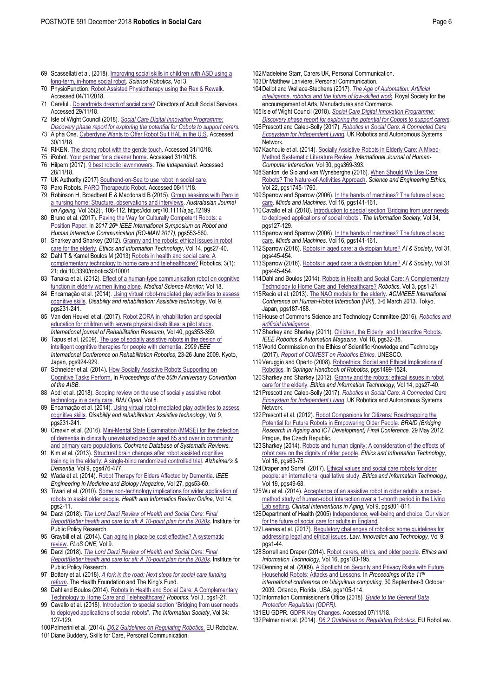- 69 Scassellati et al. (2018)[. Improving social skills in children with ASD using a](http://robotics.sciencemag.org/content/3/21/eaat7544)  [long-term, in-home social robot.](http://robotics.sciencemag.org/content/3/21/eaat7544) *Science Robotics*, Vol 3.
- 70 PhysioFunction[. Robot Assisted Physiotherapy using the Rex & Rewalk.](https://www.physiofunction.co.uk/neurological-services/robot-assisted-physiotherapy)  Accessed 04/11/2018.
- 71 Carefull. [Do androids dream of social care?](https://www.adass.org.uk/do-androids-dream-of-social-care) Directors of Adult Social Services. Accessed 29/11/18.
- 72 Isle of Wight Council (2018). *[Social Care Digital Innovation Programme:](https://www.local.gov.uk/sites/default/files/documents/IoW%20final%20deliverable%20FINAL%20for%20publication.pdf)  [Discovery phase report for exploring the potential for Cobots to support carers.](https://www.local.gov.uk/sites/default/files/documents/IoW%20final%20deliverable%20FINAL%20for%20publication.pdf)*
- 73 Alpha One[. Cyberdyne Wants to Offer Robot Suit HAL in the U.S.](https://alphaonenow.org/story.php?news_id=5239) Accessed 30/11/18.
- 74 RIKEN[. The strong robot with the gentle touch.](http://www.riken.jp/en/pr/press/2015/20150223_2/) Accessed 31/10/18.
- 75 iRobot[. Your partner for a cleaner home.](https://www.irobot.co.uk/) Accessed 31/10/18.
- 76 Hilpern (2017)[. 9 best robotic lawnmowers.](https://www.independent.co.uk/extras/indybest/house-garden/gardening/best-robot-lawn-mowers-review-uk-value-budget-rated-a7672036.html) *The Independent.* Accessed 28/11/18.
- 77 UK Authority (2017[\) Southend-on-Sea to use robot in social care.](https://www.ukauthority.com/articles/southend-on-sea-to-use-robot-in-social-care/)
- 78 Paro Robots[. PARO Therapeutic Robot.](http://www.parorobots.com/) Accessed 08/11/18.
- 79 Robinson H, Broadbent E & Macdonald B (2015)[. Group sessions with Paro in](https://doi.org/10.1111/ajag.12199)  [a nursing home: Structure, observations and interviews.](https://doi.org/10.1111/ajag.12199) *Australasian Journal on Ageing,* Vol 35(2):, 106-112. https://doi.org/10.1111/ajag.12199
- 80 Bruno et al. (2017). Paving the Way for Culturally Competent Robots: a [Position Paper.](https://ieeexplore.ieee.org/document/8172357) In *2017 26th IEEE International Symposium on Robot and Human Interactive Communication (RO-MAN 2017),* pgs553-560*.*
- 81 Sharkey and Sharkey (2012). Granny and the robots: ethical issues in robot [care for the elderly.](https://link.springer.com/article/10.1007/s10676-010-9234-6) *Ethics and Information Technology*, Vol 14, pgs27-40.
- 82 Dahl T & Kamel Boulos M (2013) Robots in health and social care: A [complementary technology to home care and telehealthcare?](https://www.mdpi.com/2218-6581/3/1/1) Robotics, 3(1): 21; doi:10.3390/robotics3010001
- 83 Tanaka et al. (2012). Effect of a human-type communication robot on cognitive [function in elderly women living alone.](https://www.ncbi.nlm.nih.gov/pmc/articles/PMC3560641/) *Medical Science Monitor,* Vol 18.
- 84 Encarnação et al. (2014). Using virtual robot-mediated play activities to assess [cognitive skills.](https://www.tandfonline.com/doi/full/10.3109/17483107.2013.782577) *Disability and rehabilitation: Assistive technology*, Vol 9, pgs231-241.
- 85 Van den Heuvel et al. (2017). Robot ZORA in rehabilitation and special education for children with severe physical disabilities: a pilot study *International journal of Rehabilitation Research,* Vol 40, pgs353-359.
- 86 Tapus et al. (2009). The use of socially assistive robots in the design of [intelligent cognitive therapies for people with dementia.](https://ieeexplore.ieee.org/document/5209501/) *2009 IEEE International Conference on Rehabilitation Robotics*, 23-26 June 2009. Kyoto, Japan, pgs924-929.
- 87 Schneider et al. (2014)[. How Socially Assistive Robots Supporting on](http://doc.gold.ac.uk/aisb50/AISB50-S19/AISB50-S19-Schneider-paper.pdf)  [Cognitive Tasks Perform.](http://doc.gold.ac.uk/aisb50/AISB50-S19/AISB50-S19-Schneider-paper.pdf) In *Proceedings of the 50th Anniversary Convention of the AISB*.
- 88 Abdi et al. (2018). Scoping review on the use of socially assistive robot [technology in elderly care.](https://bmjopen.bmj.com/content/8/2/e018815) *BMJ Open*, Vol 8.
- 89 Encarnação et al. (2014). Using virtual robot-mediated play activities to assess [cognitive skills.](https://www.tandfonline.com/doi/full/10.3109/17483107.2013.782577) *Disability and rehabilitation: Assistive technology*, Vol 9, pgs231-241.
- 90 Creavin et al. (2016)[. Mini-Mental State Examination \(MMSE\) for the detection](https://www.cochrane.org/CD011145/DEMENTIA_mini-mental-state-examination-mmse-detection-dementia-people-aged-over-65)  [of dementia in clinically unevaluated people aged](https://www.cochrane.org/CD011145/DEMENTIA_mini-mental-state-examination-mmse-detection-dementia-people-aged-over-65) 65 and over in community [and primary care populations.](https://www.cochrane.org/CD011145/DEMENTIA_mini-mental-state-examination-mmse-detection-dementia-people-aged-over-65) *Cochrane Database of Systematic Reviews.*
- 91 Kim et al. (201[3\). Structural brain changes after robot assisted](https://www.alzheimersanddementia.com/article/S1552-5260(13)01628-2/abstract) cognitive [training in the elderly: A single-blind randomized controlled trial.](https://www.alzheimersanddementia.com/article/S1552-5260(13)01628-2/abstract) *Alzheimer's & Dementia*, Vol 9, pgs476-477.
- 92 Wada et al. (2014)[. Robot Therapy for Elders Affected by Dementia.](https://ieeexplore.ieee.org/stamp/stamp.jsp?arnumber=4558139) *IEEE Engineering in Medicine and Biology Magazine,* Vol 27, pgs53-60.
- 93 Tiwari et al. (2010). Some non-technology implications for wider application of [robots to assist older people.](https://cdn.ymaws.com/www.hinz.org.nz/resource/collection/0F09C2E4-7A05-49FB-8324-709F1AB2AA2F/Tiwari_P2.pdf) *Health and Informatics Review Online,* Vol 14, pgs2-11.
- 94 Darzi (2018). *[The Lord Darzi Review of Health and Social Care: Final](https://www.ippr.org/files/2018-06/better-health-and-care-for-all-june2018.pdf)  [Report/Better health and care for all: A 10-point plan for the 2020s](https://www.ippr.org/files/2018-06/better-health-and-care-for-all-june2018.pdf)*. Institute for Public Policy Research.
- 95 Graybill et al. (2014). Can aging in place be cost effective? A systematic [review.](https://journals.plos.org/plosone/article?id=10.1371/journal.pone.0102705) *PLoS ONE,* Vol 9.
- 96 Darzi (2018). *[The Lord Darzi Review of Health and Social Care: Final](https://www.ippr.org/files/2018-06/better-health-and-care-for-all-june2018.pdf)  [Report/Better health and care for all: A 10-point plan for the 2020s](https://www.ippr.org/files/2018-06/better-health-and-care-for-all-june2018.pdf)*. Institute for Public Policy Research.
- 97 Bottery et al. (2018). *[A fork in the road: Next steps for social care funding](https://www.health.org.uk/publication/fork-road-next-steps-social-care-funding-reform)  [reform](https://www.health.org.uk/publication/fork-road-next-steps-social-care-funding-reform)*. The Health Foundation and The King's Fund.
- 98 Dahl and Boulos (2014). Robots in Health and Social Care: A Complementary [Technology to Home Care and Telehealthcare?](https://www.mdpi.com/2218-6581/3/1/1) *Robotics*, Vol 3, pgs1-21.
- 99 Cavallo et al. (2018). Introduction to special section "Bridging from user needs [to deployed applications of social robots"](https://www.tandfonline.com/doi/full/10.1080/01972243.2018.1444241). *The Information Society*, Vol 34: 127-129.
- 100Palmerini et al. (2014). *[D6.2 Guidelines on Regulating Robotics](http://www.robolaw.eu/)*. EU Robolaw.
- 101Diane Buddery, Skills for Care, Personal Communication.
- 102Madeleine Starr, Carers UK, Personal Communication.
- 103Dr Matthew Lariviere, Personal Communication.
- 104Dellot and Wallace-Stephens (2017). *[The Age of Automation: Artificial](https://www.thersa.org/globalassets/pdfs/reports/rsa_the-age-of-automation-report.pdf)  [intelligence, robotics and the future of low-skilled](https://www.thersa.org/globalassets/pdfs/reports/rsa_the-age-of-automation-report.pdf) work*. Royal Society for the encouragement of Arts, Manufactures and Commerce.
- 105Isle of Wight Council (2018). *[Social Care Digital Innovation Programme:](https://www.local.gov.uk/sites/default/files/documents/IoW%20final%20deliverable%20FINAL%20for%20publication.pdf)  [Discovery phase report for exploring the potential for Cobots to support carers.](https://www.local.gov.uk/sites/default/files/documents/IoW%20final%20deliverable%20FINAL%20for%20publication.pdf)*
- 106Prescott and Caleb-Solly (2017). *[Robotics in Social Care: A Connected Care](https://www.housinglin.org.uk/Topics/type/Robotics-in-Social-Care-A-Connected-Care-EcoSystem-for-Independent-Living/)  [Ecosystem for Independent Livin](https://www.housinglin.org.uk/Topics/type/Robotics-in-Social-Care-A-Connected-Care-EcoSystem-for-Independent-Living/)*g. UK Robotics and Autonomous Systems Network.
- 107Kachouie et al. (2014). Socially [Assistive Robots in Elderly Care: A Mixed-](https://www.tandfonline.com/doi/full/10.1080/10447318.2013.873278)[Method Systematic Literature Review.](https://www.tandfonline.com/doi/full/10.1080/10447318.2013.873278) *International Journal of Human-Computer Interaction*, Vol 30, pgs369-393.
- 108Santoni de Sio and van Wynsberghe (2016)[. When Should We Use Care](https://link.springer.com/article/10.1007/s11948-015-9715-4)  [Robots? The Nature-of-Activities Approach.](https://link.springer.com/article/10.1007/s11948-015-9715-4) *Science and Engineering Ethics,*  Vol 22, pgs1745-1760.
- 109Sparrow and Sparrow (2006). In the hands [of machines? The future of aged](https://link.springer.com/article/10.1007/s11023-006-9030-6)  [care.](https://link.springer.com/article/10.1007/s11023-006-9030-6) *Minds and Machines,* Vol 16, pgs141-161.
- 110Cavallo et al. (2018). [Introduction to special section 'Bridging from user needs](https://www.tandfonline.com/doi/full/10.1080/01972243.2018.1444241)  to deployed [applications of social robots](https://www.tandfonline.com/doi/full/10.1080/01972243.2018.1444241)'. *The Information Society*, Vol 34, pgs127-129.
- 111 Sparrow and Sparrow (2006). In the hands of machines? The future of aged [care.](https://link.springer.com/article/10.1007/s11023-006-9030-6) *Minds and Machines,* Vol 16, pgs141-161.
- 112Sparrow (2016)[. Robots in aged care: a dystopian future?](https://link.springer.com/article/10.1007/s00146-015-0625-4) *AI & Society*, Vol 31, pgs445-454.
- 113Sparrow (2016)[. Robots in aged care: a dystopian future?](https://link.springer.com/article/10.1007/s00146-015-0625-4) *AI & Society*, Vol 31, pgs445-454.
- 114Dahl and Boulos (2014)[. Robots in Health and Social Care: A Complementary](https://www.mdpi.com/2218-6581/3/1/1)  [Technology to Home Care and Telehealthcare?](https://www.mdpi.com/2218-6581/3/1/1) *Robotics*, Vol 3, pgs1-21
- 115Recio et al. (2013)[. The NAO models for the elderly.](https://ieeexplore.ieee.org/document/6483564) *ACM/IEEE International Conference on Human-Robot Interaction (HRI),* 3-6 March 2013*.* Tokyo, Japan, pgs187-188.
- 116House of Commons Science and Technology Committee (2016). *[Robotics and](https://publications.parliament.uk/pa/cm201617/cmselect/cmsctech/145/145.pdf)  [artificial intelligence](https://publications.parliament.uk/pa/cm201617/cmselect/cmsctech/145/145.pdf)*.
- 117Sharkey and Sharkey (2011)[. Children, the Elderly, and Interactive Robots.](https://ieeexplore.ieee.org/document/5751987) *IEEE Robotics & Automation Magazine,* Vol 18, pgs32-38.
- 118World Commission on the Ethics of Scientific Knowledge and Technology (2017). *[Report of COMEST on Robotics Ethics](http://unesdoc.unesco.org/images/0025/002539/253952E.pdf)*. UNESCO.
- 119Veruggio and Operto (2008)[. Roboethics: Social and Ethical Implications of](https://link.springer.com/referenceworkentry/10.1007%2F978-3-540-30301-5_65)  [Robotics.](https://link.springer.com/referenceworkentry/10.1007%2F978-3-540-30301-5_65) In *Springer Handbook of Robotics,* pgs1499-1524.
- 120 Sharkey and Sharkey (2012). Granny and the robots: ethical issues in robot [care for the elderly.](https://link.springer.com/article/10.1007/s10676-010-9234-6) *Ethics and Information Technology*, Vol 14, pgs27-40.
- 121Prescott and Caleb-Solly (2017). *[Robotics in Social Care: A Connected Care](https://www.housinglin.org.uk/Topics/type/Robotics-in-Social-Care-A-Connected-Care-EcoSystem-for-Independent-Living/)  [Ecosystem for Independent Living](https://www.housinglin.org.uk/Topics/type/Robotics-in-Social-Care-A-Connected-Care-EcoSystem-for-Independent-Living/)*. UK Robotics and Autonomous Systems Network.
- 122 Prescott et al. (2012). Robot Companions for Citizens: Roadmapping the [Potential for Future Robots in Empowering Older People.](https://www.napier.ac.uk/~/media/worktribe/output-195361/0266robotsandageingroadmappdf.pdf) *BRAID (Bridging Research in Ageing and ICT Development) Final Conference,* 29 May 2012. Prague, the Czech Republic.
- 123 Sharkey (2014). Robots and human dignity: A consideration of the effects of [robot care on the dignity of older people.](https://link.springer.com/article/10.1007/s10676-014-9338-5) *Ethics and Information Technology*, Vol 16, pgs63-75.
- 124Draper and Sorrell (2017)[. Ethical values and social care robots for older](https://link.springer.com/article/10.1007/s10676-016-9413-1)  [people: an international qualitative study.](https://link.springer.com/article/10.1007/s10676-016-9413-1) *Ethics and Information Technology*, Vol 19, pgs49-68.
- 125Wu et al. (2014)[. Acceptance of an assistive robot in older adults: a mixed](https://www.ncbi.nlm.nih.gov/pmc/articles/PMC4020879/)[method study of human-robot interaction over a 1-month period in the Living](https://www.ncbi.nlm.nih.gov/pmc/articles/PMC4020879/)  [Lab setting](https://www.ncbi.nlm.nih.gov/pmc/articles/PMC4020879/)*. Clinical Interventions in Aging*, Vol 9, pgs801-811.
- 126Department of Health (2005[\) Independence, well-being and choice. Our vision](https://assets.publishing.service.gov.uk/government/uploads/system/uploads/attachment_data/file/272101/6499.pdf)  [for the future of social care for adults in England](https://assets.publishing.service.gov.uk/government/uploads/system/uploads/attachment_data/file/272101/6499.pdf)
- 127 Leenes et al. (2017). Regulatory challenges of robotics: some guidelines for [addressing legal and ethical issues.](https://www.tandfonline.com/doi/full/10.1080/17579961.2017.1304921) *Law, Innovation and Technology,* Vol 9, pgs1-44.
- 128Sorrell and Draper (2014)[. Robot carers, ethics, and older people](https://link.springer.com/article/10.1007/s10676-014-9344-7)*. Ethics and Information Technology,* Vol 16, pgs183-195.
- 129 Denning et al. (2009). A Spotlight on Security and Privacy Risks with Future [Household Robots: Attacks and Lessons.](https://dl.acm.org/citation.cfm?id=1620564) In *Proceedings of the 11th international conference on Ubiquitous computing,* 30 September-3 October 2009*.* Orlando, Florida, USA, pgs105-114.
- 130Information Commissioner's Office (2018). *[Guide to the General Data](https://ico.org.uk/for-organisations/guide-to-the-general-data-protection-regulation-gdpr/)  [Protection Regulation \(GDPR\)](https://ico.org.uk/for-organisations/guide-to-the-general-data-protection-regulation-gdpr/)*.
- 131EU GDPR[. GDPR Key Changes.](https://eugdpr.org/the-regulation/) Accessed 07/11/18.

<sup>132</sup>Palmerini et al. (2014). *[D6.2 Guidelines on Regulating Robotics](http://www.robolaw.eu/)*. EU RoboLaw.